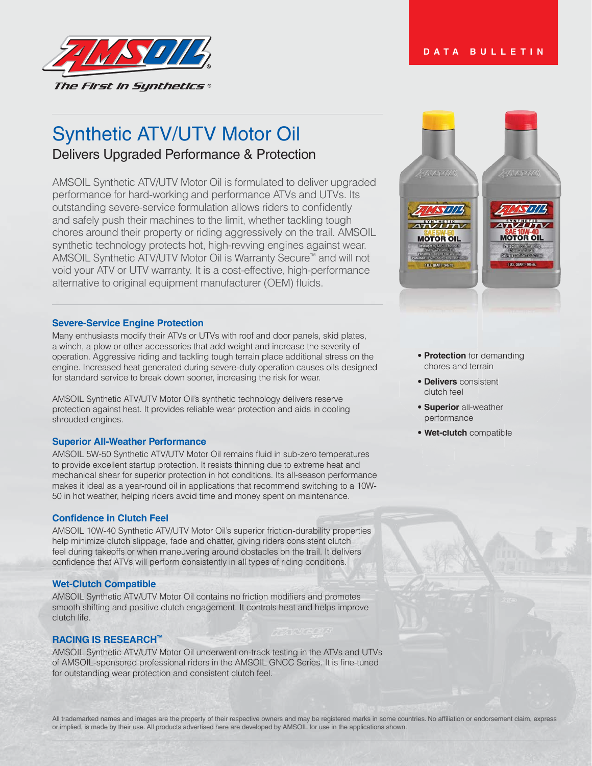

## Synthetic ATV/UTV Motor Oil

Delivers Upgraded Performance & Protection

AMSOIL Synthetic ATV/UTV Motor Oil is formulated to deliver upgraded performance for hard-working and performance ATVs and UTVs. Its outstanding severe-service formulation allows riders to confidently and safely push their machines to the limit, whether tackling tough chores around their property or riding aggressively on the trail. AMSOIL synthetic technology protects hot, high-revving engines against wear. AMSOIL Synthetic ATV/UTV Motor Oil is Warranty Secure™ and will not void your ATV or UTV warranty. It is a cost-effective, high-performance alternative to original equipment manufacturer (OEM) fluids.

## **Severe-Service Engine Protection**

Many enthusiasts modify their ATVs or UTVs with roof and door panels, skid plates, a winch, a plow or other accessories that add weight and increase the severity of operation. Aggressive riding and tackling tough terrain place additional stress on the engine. Increased heat generated during severe-duty operation causes oils designed for standard service to break down sooner, increasing the risk for wear.

AMSOIL Synthetic ATV/UTV Motor Oil's synthetic technology delivers reserve protection against heat. It provides reliable wear protection and aids in cooling shrouded engines.

## **Superior All-Weather Performance**

AMSOIL 5W-50 Synthetic ATV/UTV Motor Oil remains fluid in sub-zero temperatures to provide excellent startup protection. It resists thinning due to extreme heat and mechanical shear for superior protection in hot conditions. Its all-season performance makes it ideal as a year-round oil in applications that recommend switching to a 10W-50 in hot weather, helping riders avoid time and money spent on maintenance.

## **Confidence in Clutch Feel**

AMSOIL 10W-40 Synthetic ATV/UTV Motor Oil's superior friction-durability properties help minimize clutch slippage, fade and chatter, giving riders consistent clutch feel during takeoffs or when maneuvering around obstacles on the trail. It delivers confidence that ATVs will perform consistently in all types of riding conditions.

### **Wet-Clutch Compatible**

AMSOIL Synthetic ATV/UTV Motor Oil contains no friction modifiers and promotes smooth shifting and positive clutch engagement. It controls heat and helps improve clutch life.

## **RACING IS RESEARCH™**

AMSOIL Synthetic ATV/UTV Motor Oil underwent on-track testing in the ATVs and UTVs of AMSOIL-sponsored professional riders in the AMSOIL GNCC Series. It is fine-tuned for outstanding wear protection and consistent clutch feel.



# **• Protection** for demanding chores and terrain chores and ter • **Protection** for demand<br> **• Delivers** consistent<br>
clutch feel<br>
• **Superior** all-weather<br>
performance<br>
• **Wet-clutch** compatible

otechon for up mans nu<br>Tehories in the man<br>ners confidented man ( 1US. QUART + 946 ml

- chores and terrain<br> **Delivers** consistent clutch feel
- **Superior** all-weather performance performan
- 

### **DATA BULLETIN**

All trademarked names and images are the property of their respective owners and may be registered marks in some countries. No affiliation or endorsement claim, express or implied, is made by their use. All products advertised here are developed by AMSOIL for use in the applications shown.